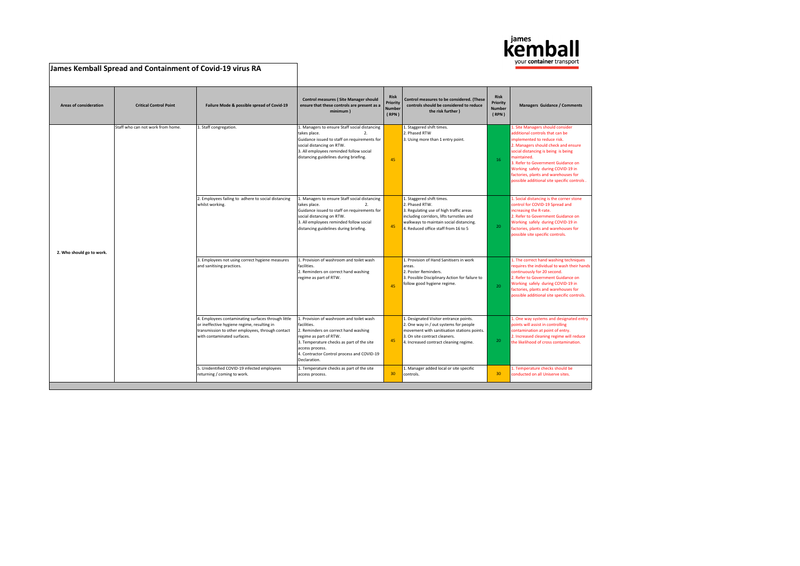

| James Kemball Spread and Containment of Covid-19 virus RA |                                   |                                                                                                                                                                                      |                                                                                                                                                                                                                                                         |                                                   |                                                                                                                                                                                                                        |                                            |                                                                                                                                                                                                                                                                                                                                                                   |
|-----------------------------------------------------------|-----------------------------------|--------------------------------------------------------------------------------------------------------------------------------------------------------------------------------------|---------------------------------------------------------------------------------------------------------------------------------------------------------------------------------------------------------------------------------------------------------|---------------------------------------------------|------------------------------------------------------------------------------------------------------------------------------------------------------------------------------------------------------------------------|--------------------------------------------|-------------------------------------------------------------------------------------------------------------------------------------------------------------------------------------------------------------------------------------------------------------------------------------------------------------------------------------------------------------------|
| <b>Areas of consideration</b>                             | <b>Critical Control Point</b>     | Failure Mode & possible spread of Covid-19                                                                                                                                           | <b>Control measures (Site Manager should</b><br>ensure that these controls are present as a<br>minimum)                                                                                                                                                 | <b>Risk</b><br>Priority<br><b>Number</b><br>(RPN) | Control measures to be considered. (These<br>controls should be considered to reduce<br>the risk further )                                                                                                             | Risk<br>Priority<br><b>Number</b><br>(RPN) | <b>Managers Guidance / Comments</b>                                                                                                                                                                                                                                                                                                                               |
| 2. Who should go to work.                                 | Staff who can not work from home. | 1. Staff congregation.                                                                                                                                                               | 1. Managers to ensure Staff social distancing<br>2.<br>takes place.<br>Guidance issued to staff on requirements for<br>social distancing on RTW.<br>3. All employees reminded follow social<br>distancing guidelines during briefing.                   | 45                                                | 1. Staggered shift times.<br>2. Phased RTW<br>3. Using more than 1 entry point.                                                                                                                                        | 16                                         | L. Site Managers should consider<br>additional controls that can be<br>implemented to reduce risk.<br>2. Managers should check and ensure<br>social distancing is being is being<br>maintained.<br>3. Refer to Government Guidance on<br>Working safely during COVID-19 in<br>factories, plants and warehouses for<br>possible additional site specific controls. |
|                                                           |                                   | 2. Employees failing to adhere to social distancing<br>whilst working.                                                                                                               | 1. Managers to ensure Staff social distancing<br>takes place.<br>2.<br>Guidance issued to staff on requirements for<br>social distancing on RTW.<br>3. All employees reminded follow social<br>distancing guidelines during briefing.                   | 45                                                | 1. Staggered shift times.<br>2. Phased RTW.<br>3. Regulating use of high traffic areas<br>including corridors, lifts turnstiles and<br>walkways to maintain social distancing.<br>4. Reduced office staff from 16 to 5 | 20 <sub>1</sub>                            | 1. Social distancing is the corner stone<br>control for COVID-19 Spread and<br>increasing the R-rate.<br>2. Refer to Government Guidance on<br>Working safely during COVID-19 in<br>factories, plants and warehouses for<br>possible site specific controls.                                                                                                      |
|                                                           |                                   | 3. Employees not using correct hygiene measures<br>and sanitising practices.                                                                                                         | 1. Provision of washroom and toilet wash<br>facilities.<br>2. Reminders on correct hand washing<br>regime as part of RTW.                                                                                                                               | 45                                                | 1. Provision of Hand Sanitisers in work<br>areas.<br>2. Poster Reminders.<br>3. Possible Disciplinary Action for failure to<br>follow good hygiene regime.                                                             | 20 <sub>1</sub>                            | 1. The correct hand washing techniques<br>requires the individual to wash their hands<br>continuously for 20 second.<br>2. Refer to Government Guidance on<br>Working safely during COVID-19 in<br>factories, plants and warehouses for<br>possible additional site specific controls.                                                                            |
|                                                           |                                   | 4. Employees contaminating surfaces through little<br>or ineffective hygiene regime, resulting in<br>transmission to other employees, through contact<br>with contaminated surfaces. | 1. Provision of washroom and toilet wash<br>facilities.<br>2. Reminders on correct hand washing<br>regime as part of RTW.<br>3. Temperature checks as part of the site<br>access process.<br>4. Contractor Control process and COVID-19<br>Declaration. | 45                                                | 1. Designated Visitor entrance points.<br>2. One way in / out systems for people<br>movement with sanitisation stations points.<br>3. On site contract cleaners.<br>4. Increased contract cleaning regime.             | 20 <sub>1</sub>                            | 1. One way systems and designated entry<br>points will assist in controlling<br>contamination at point of entry.<br>2. Increased cleaning regime will reduce<br>the likelihood of cross contamination.                                                                                                                                                            |
|                                                           |                                   | 5. Unidentified COVID-19 infected employees<br>returning / coming to work.                                                                                                           | 1. Temperature checks as part of the site<br>access process.                                                                                                                                                                                            | 30                                                | 1. Manager added local or site specific<br>controls.                                                                                                                                                                   | 30                                         | 1. Temperature checks should be<br>conducted on all Uniserve sites.                                                                                                                                                                                                                                                                                               |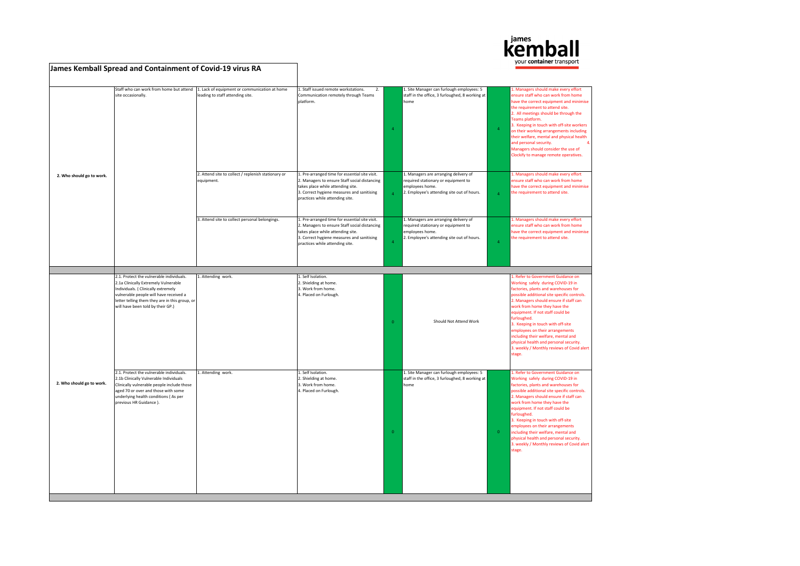

|                           | James Kemball Spread and Containment of Covid-19 virus RA                                                                                                                                                                                                |                                                                                   |                                                                                                                                                                                                                       |                |                                                                                                                                               |                | your <b>container</b> transport                                                                                                                                                                                                                                                                                                                                                                                                                                                                              |
|---------------------------|----------------------------------------------------------------------------------------------------------------------------------------------------------------------------------------------------------------------------------------------------------|-----------------------------------------------------------------------------------|-----------------------------------------------------------------------------------------------------------------------------------------------------------------------------------------------------------------------|----------------|-----------------------------------------------------------------------------------------------------------------------------------------------|----------------|--------------------------------------------------------------------------------------------------------------------------------------------------------------------------------------------------------------------------------------------------------------------------------------------------------------------------------------------------------------------------------------------------------------------------------------------------------------------------------------------------------------|
|                           | Staff who can work from home but attend<br>site occasionally.                                                                                                                                                                                            | 1. Lack of equipment or communication at home<br>leading to staff attending site. | 1. Staff issued remote workstations.<br>2.<br>Communication remotely through Teams<br>platform.                                                                                                                       | $\overline{a}$ | 1. Site Manager can furlough employees: 5<br>staff in the office, 3 furloughed, 8 working at<br>home                                          |                | . Managers should make every effort<br>ensure staff who can work from home<br>have the correct equipment and minimise<br>the requirement to attend site.<br>2. All meetings should be through the<br>Teams platform.<br>3. Keeping in touch with off-site workers<br>on their working arrangements including<br>their welfare, mental and physical health<br>and personal security.<br>$\overline{a}$<br>Managers should consider the use of<br>Clockify to manage remote operatives.                        |
| 2. Who should go to work. |                                                                                                                                                                                                                                                          | 2. Attend site to collect / replenish stationary or<br>equipment.                 | 1. Pre-arranged time for essential site visit.<br>2. Managers to ensure Staff social distancing<br>takes place while attending site.<br>3. Correct hygiene measures and sanitising<br>practices while attending site. | $\Delta$       | 1. Managers are arranging delivery of<br>required stationary or equipment to<br>employees home.<br>2. Employee's attending site out of hours. | $\Delta$       | 1. Managers should make every effort<br>ensure staff who can work from home<br>have the correct equipment and minimise<br>the requirement to attend site.                                                                                                                                                                                                                                                                                                                                                    |
|                           |                                                                                                                                                                                                                                                          | 3. Attend site to collect personal belongings.                                    | 1. Pre-arranged time for essential site visit.<br>2. Managers to ensure Staff social distancing<br>takes place while attending site.<br>3. Correct hygiene measures and sanitising<br>practices while attending site. | $\overline{A}$ | 1. Managers are arranging delivery of<br>required stationary or equipment to<br>employees home.<br>2. Employee's attending site out of hours. | $\overline{4}$ | 1. Managers should make every effort<br>ensure staff who can work from home<br>have the correct equipment and minimise<br>the requirement to attend site.                                                                                                                                                                                                                                                                                                                                                    |
|                           |                                                                                                                                                                                                                                                          |                                                                                   |                                                                                                                                                                                                                       |                |                                                                                                                                               |                |                                                                                                                                                                                                                                                                                                                                                                                                                                                                                                              |
|                           | 2.1. Protect the vulnerable individuals.<br>2.1a Clinically Extremely Vulnerable<br>Individuals. ( Clinically extremely<br>vulnerable people will have received a<br>letter telling them they are in this group, or<br>will have been told by their GP.) | 1. Attending work.                                                                | 1. Self Isolation.<br>2. Shielding at home.<br>3. Work from home.<br>4. Placed on Furlough.                                                                                                                           | $\overline{0}$ | Should Not Attend Work                                                                                                                        |                | L. Refer to Government Guidance on<br>Working safely during COVID-19 in<br>factories, plants and warehouses for<br>possible additional site specific controls.<br>2. Managers should ensure if staff can<br>work from home they have the<br>equipment. If not staff could be<br>furloughed.<br>3. Keeping in touch with off-site<br>employees on their arrangements<br>including their welfare, mental and<br>physical health and personal security.<br>3. weekly / Monthly reviews of Covid alert<br>stage. |
| 2. Who should go to work. | 2.1. Protect the vulnerable individuals.<br>2.1b Clinically Vulnerable Individuals<br>Clinically vulnerable people include those<br>aged 70 or over and those with some<br>underlying health conditions (As per<br>previous HR Guidance).                | 1. Attending work.                                                                | 1. Self Isolation.<br>2. Shielding at home.<br>3. Work from home.<br>4. Placed on Furlough.                                                                                                                           | $\overline{0}$ | 1. Site Manager can furlough employees: 5<br>staff in the office, 3 furloughed, 8 working at<br>home                                          | $\overline{0}$ | 1. Refer to Government Guidance on<br>Working safely during COVID-19 in<br>factories, plants and warehouses for<br>possible additional site specific controls.<br>2. Managers should ensure if staff can<br>work from home they have the<br>equipment. If not staff could be<br>furloughed.<br>3. Keeping in touch with off-site<br>employees on their arrangements<br>including their welfare, mental and<br>physical health and personal security.<br>3. weekly / Monthly reviews of Covid alert<br>stage. |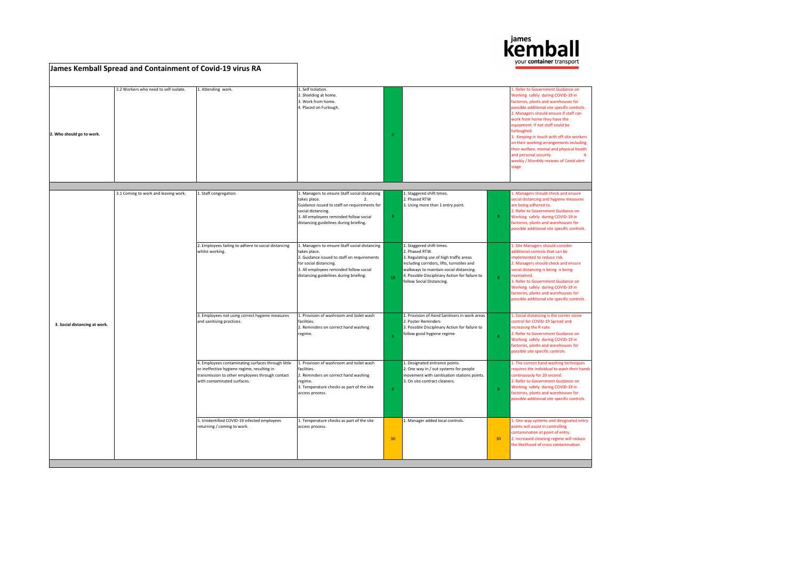

|                               | James Kemball Spread and Containment of Covid-19 virus RA |                                                                                                                                                                                     |                                                                                                                                                                                                                                |                |                                                                                                                                                                                                                                                                |                |                                                                                                                                                                                                                                                                                                                                                                                                                                                                                                                 |
|-------------------------------|-----------------------------------------------------------|-------------------------------------------------------------------------------------------------------------------------------------------------------------------------------------|--------------------------------------------------------------------------------------------------------------------------------------------------------------------------------------------------------------------------------|----------------|----------------------------------------------------------------------------------------------------------------------------------------------------------------------------------------------------------------------------------------------------------------|----------------|-----------------------------------------------------------------------------------------------------------------------------------------------------------------------------------------------------------------------------------------------------------------------------------------------------------------------------------------------------------------------------------------------------------------------------------------------------------------------------------------------------------------|
| 2. Who should go to work.     | 2.2 Workers who need to self-isolate.                     | 1. Attending work.                                                                                                                                                                  | 1. Self Isolation.<br>2. Shielding at home.<br>3. Work from home.<br>4. Placed on Furlough.                                                                                                                                    | $\mathbf{0}$   |                                                                                                                                                                                                                                                                |                | 1. Refer to Government Guidance on<br>Working safely during COVID-19 in<br>factories, plants and warehouses for<br>possible additional site specific controls.<br>2. Managers should ensure if staff can<br>work from home they have the<br>equipment. If not staff could be<br>furloughed.<br>3. Keeping in touch with off-site workers<br>on their working arrangements including<br>their welfare, mental and physical health<br>and personal security.<br>weekly / Monthly reviews of Covid alert<br>stage. |
|                               |                                                           |                                                                                                                                                                                     |                                                                                                                                                                                                                                |                |                                                                                                                                                                                                                                                                |                |                                                                                                                                                                                                                                                                                                                                                                                                                                                                                                                 |
|                               | 3.1 Coming to work and leaving work.                      | 1. Staff congregation.                                                                                                                                                              | 1. Managers to ensure Staff social distancing<br>takes place.<br>2.<br>Guidance issued to staff on requirements for<br>social distancing.<br>3. All employees reminded follow social<br>distancing guidelines during briefing. | $\mathbf{R}$   | 1. Staggered shift times.<br>2. Phased RTW<br>3. Using more than 1 entry point.                                                                                                                                                                                | 8 <sup>1</sup> | . Managers should check and ensure<br>social distancing and hygiene measures<br>are being adhered to.<br>2. Refer to Government Guidance on<br>Working safely during COVID-19 in<br>factories, plants and warehouses for<br>possible additional site specific controls.                                                                                                                                                                                                                                         |
|                               |                                                           | 2. Employees failing to adhere to social distancing<br>whilst working.                                                                                                              | 1. Managers to ensure Staff social distancing<br>takes place.<br>2. Guidance issued to staff on requirements<br>for social distancing.<br>3. All employees reminded follow social<br>distancing guidelines during briefing.    | 18             | 1. Staggered shift times.<br>2. Phased RTW.<br>3. Regulating use of high traffic areas<br>including corridors, lifts, turnstiles and<br>walkways to maintain social distancing.<br>4. Possible Disciplinary Action for failure to<br>follow Social Distancing. | 8 <sup>1</sup> | 1. Site Managers should consider<br>additional controls that can be<br>implemented to reduce risk.<br>2. Managers should check and ensure<br>social distancing is being is being<br>maintained.<br>3. Refer to Government Guidance on<br>Working safely during COVID-19 in<br>factories, plants and warehouses for<br>possible additional site specific controls.                                                                                                                                               |
| 3. Social distancing at work. |                                                           | 3. Employees not using correct hygiene measures<br>and sanitising practices.                                                                                                        | 1. Provision of washroom and toilet wash<br>facilities.<br>2. Reminders on correct hand washing<br>regime.                                                                                                                     | $\mathbf{R}$   | 1. Provision of Hand Sanitisers in work areas<br>2. Poster Reminders<br>3. Possible Disciplinary Action for failure to<br>follow good hygiene regime                                                                                                           | 8 <sup>°</sup> | 1. Social distancing is the corner stone<br>control for COVID-19 Spread and<br>increasing the R-rate.<br>2. Refer to Government Guidance on<br>Working safely during COVID-19 in<br>factories, plants and warehouses for<br>possible site specific controls.                                                                                                                                                                                                                                                    |
|                               |                                                           | 4. Employees contaminating surfaces through little<br>or ineffective hygiene regime, resulting in<br>transmission to other employees through contact<br>with contaminated surfaces. | 1. Provision of washroom and toilet wash<br>facilities.<br>2. Reminders on correct hand washing<br>regime.<br>3. Temperature checks as part of the site<br>access process.                                                     | $\overline{8}$ | 1. Designated entrance points.<br>2. One way in / out systems for people<br>movement with sanitisation stations points.<br>3. On site contract cleaners.                                                                                                       | 8              | 1. The correct hand washing techniques<br>requires the individual to wash their hands<br>continuously for 20 second.<br>2. Refer to Government Guidance on<br>Working safely during COVID-19 in<br>factories, plants and warehouses for<br>possible additional site specific controls.                                                                                                                                                                                                                          |
|                               |                                                           | 5. Unidentified COVID-19 infected employees<br>returning / coming to work.                                                                                                          | 1. Temperature checks as part of the site<br>access process.                                                                                                                                                                   | 30             | 1. Manager added local controls.                                                                                                                                                                                                                               | 30             | 1. One way systems and designated entry<br>points will assist in controlling<br>contamination at point of entry.<br>2. Increased cleaning regime will reduce<br>the likelihood of cross contamination.                                                                                                                                                                                                                                                                                                          |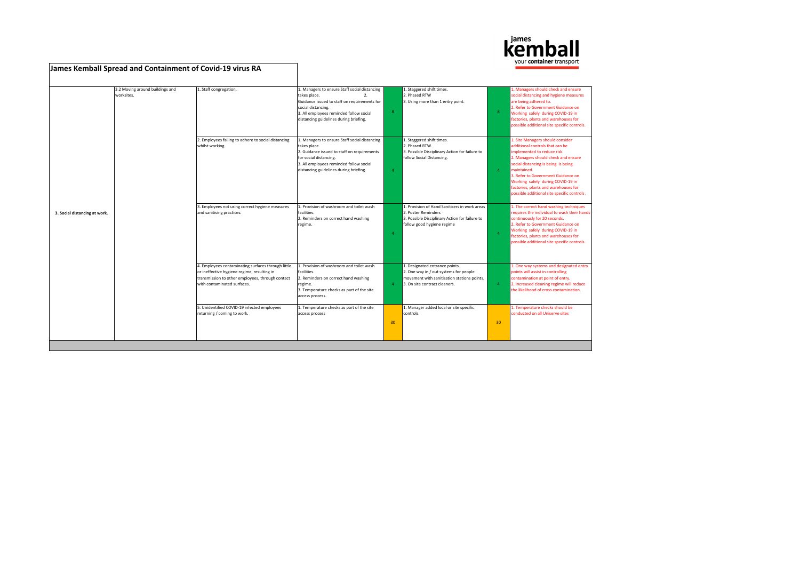

|                               | James Kemball Spread and Containment of Covid-19 virus RA |                                                                                                                                                                                      |                                                                                                                                                                                                                                              |                |                                                                                                                                                          |                | your <b>container</b> transport                                                                                                                                                                                                                                                                                                                                   |
|-------------------------------|-----------------------------------------------------------|--------------------------------------------------------------------------------------------------------------------------------------------------------------------------------------|----------------------------------------------------------------------------------------------------------------------------------------------------------------------------------------------------------------------------------------------|----------------|----------------------------------------------------------------------------------------------------------------------------------------------------------|----------------|-------------------------------------------------------------------------------------------------------------------------------------------------------------------------------------------------------------------------------------------------------------------------------------------------------------------------------------------------------------------|
|                               | 3.2 Moving around buildings and<br>worksites.             | 1. Staff congregation.                                                                                                                                                               | 1. Managers to ensure Staff social distancing<br>takes place.<br>$\overline{2}$ .<br>Guidance issued to staff on requirements for<br>social distancing.<br>3. All employees reminded follow social<br>distancing guidelines during briefing. | 8              | 1. Staggered shift times.<br>2. Phased RTW<br>3. Using more than 1 entry point.                                                                          | 8              | 1. Managers should check and ensure<br>social distancing and hygiene measures<br>are being adhered to.<br>2. Refer to Government Guidance on<br>Working safely during COVID-19 in<br>factories, plants and warehouses for<br>possible additional site specific controls.                                                                                          |
|                               |                                                           | 2. Employees failing to adhere to social distancing<br>whilst working.                                                                                                               | 1. Managers to ensure Staff social distancing<br>takes place.<br>2. Guidance issued to staff on requirements<br>for social distancing.<br>3. All employees reminded follow social<br>distancing guidelines during briefing.                  | $\Delta$       | 1. Staggered shift times.<br>2. Phased RTW.<br>3. Possible Disciplinary Action for failure to<br>follow Social Distancing.                               | $\overline{4}$ | 1. Site Managers should consider<br>additional controls that can be<br>implemented to reduce risk.<br>2. Managers should check and ensure<br>social distancing is being is being<br>maintained.<br>3. Refer to Government Guidance on<br>Working safely during COVID-19 in<br>factories, plants and warehouses for<br>possible additional site specific controls. |
| 3. Social distancing at work. |                                                           | 3. Employees not using correct hygiene measures<br>and sanitising practices.                                                                                                         | 1. Provision of washroom and toilet wash<br>facilities.<br>2. Reminders on correct hand washing<br>regime.                                                                                                                                   | $\Delta$       | 1. Provision of Hand Sanitisers in work areas<br>2. Poster Reminders<br>3. Possible Disciplinary Action for failure to<br>follow good hygiene regime     | $\overline{a}$ | 1. The correct hand washing techniques<br>requires the individual to wash their hands<br>continuously for 20 seconds.<br>2. Refer to Government Guidance on<br>Working safely during COVID-19 in<br>factories, plants and warehouses for<br>possible additional site specific controls.                                                                           |
|                               |                                                           | 4. Employees contaminating surfaces through little<br>or ineffective hygiene regime, resulting in<br>transmission to other employees, through contact<br>with contaminated surfaces. | 1. Provision of washroom and toilet wash<br>facilities.<br>2. Reminders on correct hand washing<br>regime.<br>3. Temperature checks as part of the site<br>access process.                                                                   | $\overline{4}$ | 1. Designated entrance points.<br>2. One way in / out systems for people<br>movement with sanitisation stations points.<br>3. On site contract cleaners. | 4 <sup>1</sup> | 1. One way systems and designated entry<br>points will assist in controlling<br>contamination at point of entry.<br>2. Increased cleaning regime will reduce<br>the likelihood of cross contamination.                                                                                                                                                            |
|                               |                                                           | 5. Unidentified COVID-19 infected employees<br>returning / coming to work.                                                                                                           | 1. Temperature checks as part of the site<br>access process                                                                                                                                                                                  | 30             | 1. Manager added local or site specific<br>controls.                                                                                                     | 30             | 1. Temperature checks should be<br>conducted on all Uniserve sites                                                                                                                                                                                                                                                                                                |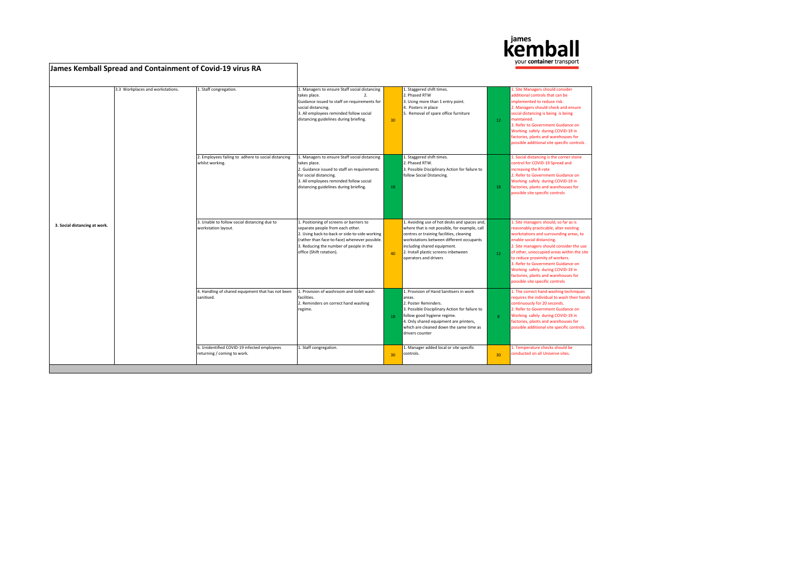

|                               | James Kemball Spread and Containment of Covid-19 virus RA |                                                                            |                                                                                                                                                                                                                                                       |    |                                                                                                                                                                                                                                                                                       |                 | your container transport                                                                                                                                                                                                                                                                                                                                                                                                                  |
|-------------------------------|-----------------------------------------------------------|----------------------------------------------------------------------------|-------------------------------------------------------------------------------------------------------------------------------------------------------------------------------------------------------------------------------------------------------|----|---------------------------------------------------------------------------------------------------------------------------------------------------------------------------------------------------------------------------------------------------------------------------------------|-----------------|-------------------------------------------------------------------------------------------------------------------------------------------------------------------------------------------------------------------------------------------------------------------------------------------------------------------------------------------------------------------------------------------------------------------------------------------|
|                               | 3.3 Workplaces and workstations.                          | 1. Staff congregation.                                                     | 1. Managers to ensure Staff social distancing<br>takes place.<br>$\overline{2}$ .<br>Guidance issued to staff on requirements for<br>social distancing.<br>3. All employees reminded follow social<br>distancing guidelines during briefing.          | 30 | 1. Staggered shift times.<br>2. Phased RTW<br>3. Using more than 1 entry point.<br>4. Posters in place<br>5. Removal of spare office furniture                                                                                                                                        | 12 <sup>7</sup> | . Site Managers should consider<br>additional controls that can be<br>implemented to reduce risk.<br>2. Managers should check and ensure<br>social distancing is being is being<br>maintained.<br>3. Refer to Government Guidance on<br>Working safely during COVID-19 in<br>factories, plants and warehouses for<br>possible additional site specific controls.                                                                          |
|                               |                                                           | 2. Employees failing to adhere to social distancing<br>whilst working.     | 1. Managers to ensure Staff social distancing<br>takes place.<br>2. Guidance issued to staff on requirements<br>for social distancing.<br>3. All employees reminded follow social<br>distancing guidelines during briefing.                           | 18 | 1. Staggered shift times.<br>2. Phased RTW.<br>3. Possible Disciplinary Action for failure to<br>follow Social Distancing.                                                                                                                                                            | 18              | 1. Social distancing is the corner stone<br>control for COVID-19 Spread and<br>increasing the R-rate<br>2. Refer to Government Guidance on<br>Working safely during COVID-19 in<br>factories, plants and warehouses for<br>possible site specific controls                                                                                                                                                                                |
| 3. Social distancing at work. |                                                           | 3. Unable to follow social distancing due to<br>workstation layout.        | 1. Positioning of screens or barriers to<br>separate people from each other.<br>2. Using back-to-back or side-to-side working<br>(rather than face-to-face) whenever possible.<br>3. Reducing the number of people in the<br>office (Shift rotation). | 40 | 1. Avoiding use of hot desks and spaces and,<br>where that is not possible, for example, call<br>centres or training facilities, cleaning<br>workstations between different occupants<br>including shared equipment.<br>2. Install plastic screens inbetween<br>operators and drivers | 12 <sup>7</sup> | 1. Site managers should, so far as is<br>reasonably practicable, alter existing<br>workstations and surrounding areas, to<br>enable social distancing.<br>2. Site managers should consider the use<br>of other, unoccupied areas within the site<br>to reduce proximity of workers.<br>3. Refer to Government Guidance on<br>Working safely during COVID-19 in<br>factories, plants and warehouses for<br>possible site specific controls |
|                               |                                                           | 4. Handling of shared equipment that has not been<br>sanitised.            | 1. Provision of washroom and toilet wash<br>facilities.<br>2. Reminders on correct hand washing<br>regime.                                                                                                                                            | 18 | 1. Provision of Hand Sanitisers in work<br>areas.<br>2. Poster Reminders.<br>3. Possible Disciplinary Action for failure to<br>follow good hygiene regime.<br>4. Only shared equipment are printers,<br>which are cleaned down the same time as<br>drivers counter                    | $\mathbf{R}$    | 1. The correct hand washing techniques<br>requires the individual to wash their hands<br>continuously for 20 seconds.<br>2. Refer to Government Guidance on<br>Working safely during COVID-19 in<br>factories, plants and warehouses for<br>possible additional site specific controls.                                                                                                                                                   |
|                               |                                                           | 6. Unidentified COVID-19 infected employees<br>returning / coming to work. | 1. Staff congregation.                                                                                                                                                                                                                                | 30 | 1. Manager added local or site specific<br>controls.                                                                                                                                                                                                                                  | 30 <sup>°</sup> | 1. Temperature checks should be<br>conducted on all Uniserve sites.                                                                                                                                                                                                                                                                                                                                                                       |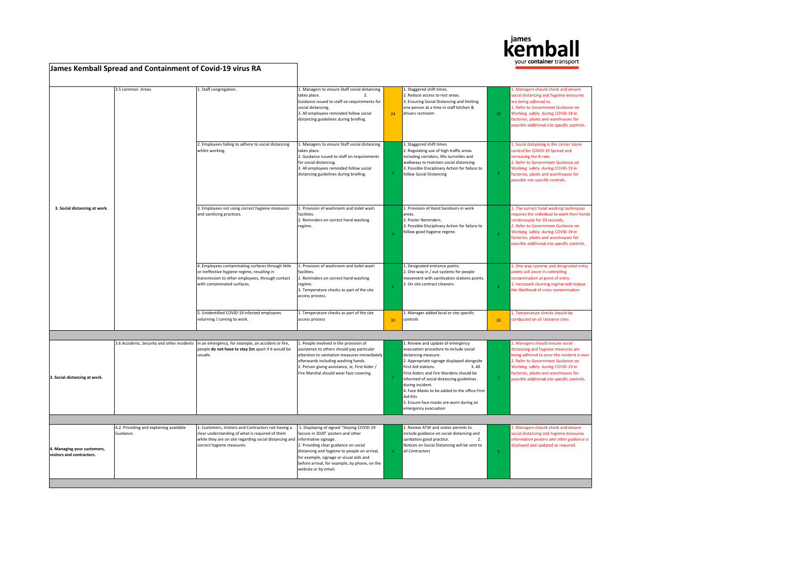

|                                                          | James Kemball Spread and Containment of Covid-19 virus RA |                                                                                                                                                                                                                    |                                                                                                                                                                                                                                                                                             |                |                                                                                                                                                                                                                                                                                                                                                                                                                              |                | vour <b>comanier</b> transport                                                                                                                                                                                                                                                          |
|----------------------------------------------------------|-----------------------------------------------------------|--------------------------------------------------------------------------------------------------------------------------------------------------------------------------------------------------------------------|---------------------------------------------------------------------------------------------------------------------------------------------------------------------------------------------------------------------------------------------------------------------------------------------|----------------|------------------------------------------------------------------------------------------------------------------------------------------------------------------------------------------------------------------------------------------------------------------------------------------------------------------------------------------------------------------------------------------------------------------------------|----------------|-----------------------------------------------------------------------------------------------------------------------------------------------------------------------------------------------------------------------------------------------------------------------------------------|
|                                                          | 3.5 common Areas.                                         | 1. Staff congregation.                                                                                                                                                                                             | 1. Managers to ensure Staff social distancing<br>takes place.<br>$\overline{2}$<br>Guidance issued to staff on requirements for<br>social distancing.<br>3. All employees reminded follow social<br>distancing guidelines during briefing.                                                  | 24             | 1. Staggered shift times.<br>2. Reduce access to rest areas.<br>3. Ensuring Social Distancing and limiting<br>one person at a time in staff kitchen &<br>drivers restroom                                                                                                                                                                                                                                                    | 18             | . Managers should check and ensure<br>social distancing and hygiene measures<br>are being adhered to.<br>2. Refer to Government Guidance on<br>Working safely during COVID-19 in<br>factories, plants and warehouses for<br>possible additional site specific controls.                 |
|                                                          |                                                           | 2. Employees failing to adhere to social distancing<br>whilst working.                                                                                                                                             | 1. Managers to ensure Staff social distancing<br>takes place.<br>2. Guidance issued to staff on requirements<br>for social distancing.<br>3. All employees reminded follow social<br>distancing guidelines during briefing.                                                                 | $\overline{4}$ | 1. Staggered shift times.<br>2. Regulating use of high traffic areas<br>including corridors, lifts turnstiles and<br>walkways to maintain social distancing<br>3. Possible Disciplinary Action for failure to<br>follow Social Distancing                                                                                                                                                                                    | $\overline{4}$ | 1. Social distancing is the corner stone<br>control for COVID-19 Spread and<br>ncreasing the R-rate.<br>. Refer to Government Guidance on<br>Working safely during COVID-19 in<br>factories, plants and warehouses for<br>possible site specific controls.                              |
| 3. Social distancing at work.                            |                                                           | 3. Employees not using correct hygiene measures<br>and sanitising practices.                                                                                                                                       | 1. Provision of washroom and toilet wash<br>facilities.<br>2. Reminders on correct hand washing<br>regime.                                                                                                                                                                                  |                | 1. Provision of Hand Sanitisers in work<br>areas.<br>2. Poster Reminders.<br>3. Possible Disciplinary Action for failure to<br>follow good hygiene regime.                                                                                                                                                                                                                                                                   | $\Delta$       | 1. The correct hand washing techniques<br>requires the individual to wash their hands<br>continuously for 20 seconds.<br>2. Refer to Government Guidance on<br>Working safely during COVID-19 in<br>factories, plants and warehouses for<br>possible additional site specific controls. |
|                                                          |                                                           | 4. Employees contaminating surfaces through little<br>or ineffective hygiene regime, resulting in<br>transmission to other employees, through contact<br>with contaminated surfaces.                               | 1. Provision of washroom and toilet wash<br>facilities.<br>2. Reminders on correct hand washing<br>regime.<br>3. Temperature checks as part of the site<br>access process.                                                                                                                  | $\overline{A}$ | 1. Designated entrance points.<br>2. One way in / out systems for people<br>movement with sanitisation stations points.<br>3. On site contract cleaners.                                                                                                                                                                                                                                                                     | $\overline{4}$ | 1. One way systems and designated entry<br>points will assist in controlling<br>contamination at point of entry.<br>2. Increased cleaning regime will reduce<br>the likelihood of cross contamination                                                                                   |
|                                                          |                                                           | 5. Unidentified COVID-19 infected employees<br>returning / coming to work.                                                                                                                                         | 1. Temperature checks as part of the site<br>access process                                                                                                                                                                                                                                 | 30             | 1. Manager added local or site specific<br>controls                                                                                                                                                                                                                                                                                                                                                                          | 30             | 1. Temperature checks should be<br>conducted on all Uniserve sites                                                                                                                                                                                                                      |
|                                                          |                                                           |                                                                                                                                                                                                                    |                                                                                                                                                                                                                                                                                             |                |                                                                                                                                                                                                                                                                                                                                                                                                                              |                |                                                                                                                                                                                                                                                                                         |
| 3. Social distancing at work.                            | 3.6 Accidents, Security and other incidents               | In an emergency, for example, an accident or fire,<br>people do not have to stay 2m apart if it would be<br>unsafe.                                                                                                | 1. People involved in the provision of<br>assistance to others should pay particular<br>attention to sanitation measures immediately<br>afterwards including washing hands.<br>2. Person giving assistance, ie, First Aider /<br>Fire Marshal should wear face covering.                    |                | 1. Review and update of emergency<br>evacuation procedure to include social<br>distancing measure.<br>2. Appropriate signage displayed alongside<br>First Aid stations.<br>3. All<br>First Aiders and Fire Wardens should be<br>informed of social distancing guidelines<br>during incident.<br>4. Face Masks to be added to the office First<br>Aid Kits<br>5. Ensure face masks are worn during an<br>emergency evacuation | $\overline{2}$ | . Managers should ensure social<br>distancing and hygiene measures are<br>being adhered to once the incident is over.<br>2. Refer to Government Guidance on<br>Working safely during COVID-19 in<br>factories, plants and warehouses for<br>possible additional site specific controls. |
|                                                          |                                                           |                                                                                                                                                                                                                    |                                                                                                                                                                                                                                                                                             |                |                                                                                                                                                                                                                                                                                                                                                                                                                              |                |                                                                                                                                                                                                                                                                                         |
| 4. Managing your customers,<br>visitors and contractors. | 4.2. Providing and explaining available<br>Guidance.      | 1. Customers, Visitors and Contractors not having a<br>clear understanding of what is required of them<br>while they are on site regarding social distancing and informative signage.<br>correct hygiene measures. | 1. Displaying of signed "Staying COVID-19<br>Secure in 2020" posters and other<br>2. Providing clear guidance on social<br>distancing and hygiene to people on arrival,<br>for example, signage or visual aids and<br>before arrival, for example, by phone, on the<br>website or by email. | $\overline{a}$ | 1. Review ATW and visitor permits to<br>include guidance on social distancing and<br>sanitation good practice.<br>$\overline{2}$<br>Notices on Social Distancing will be sent to<br>all Contractors                                                                                                                                                                                                                          | $\overline{4}$ | 1. Managers should check and ensure<br>social distancing and hygiene measures<br>information posters and other guidance is<br>displayed and updated as required.                                                                                                                        |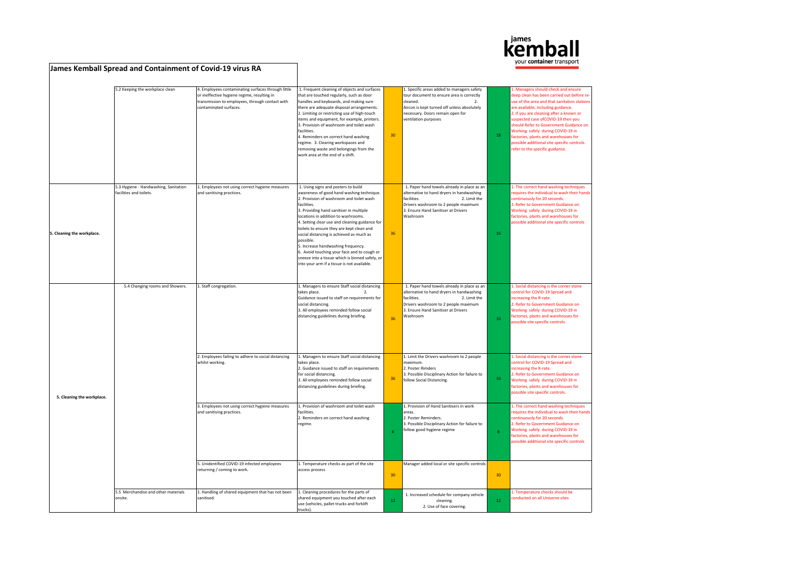

## 5.2 Keeping the workplace clean 4. Employees contaminating surfaces through little or ineffective hygiene regime, resulting in transmission to employees, through contact with contaminated surfaces. 1. Frequent cleaning of objects and surfaces that are touched regularly, such as door andles and keyboards, and making sure there are adequate disposal arrangements. 2. Limiting or restricting use of high-touch items and equipment, for example, printers. 3. Provision of washroom and toilet wash facilities. 4. Reminders on correct hand washing regime. 3. Clearing workspaces and emoving waste and belongings from the work area at the end of a shift. 30 1. Specific areas added to managers safety tour document to ensure area is correctly<br>cleaned. 2. cleaned. 2. Aircon is kept turned off unless absolutely necessary. Doors remain open for ventilation purposes 18 1. Managers should check and ensure en clean has been carried out before **re**use of the area and that sanitation station e<br>The available, including guidance. 2. If you are cleaning after a known or spected case ofCOVID-19 then you should Refer to Government Guidance on Working safely during COVID-19 in factories, plants and warehouses for ssible additional site specific controls refer to the specific guidance. **5. Cleaning the workplace.** 5.3 Hygiene - Handwashing, Sanitation facilities and toilets. 1. Employees not using correct hygiene measures and sanitising practices. 1. Using signs and posters to build awareness of good hand washing technique. 2. Provision of washroom and toilet wash facilities. 3. Providing hand sanitiser in multiple locations in addition to washrooms. 4. Setting clear use and cleaning guidance for toilets to ensure they are kept clean and social distancing is achieved as much as possible. 5. Increase handwashing frequency. 6. Avoid touching your face and to cough or neeze into a tissue which is binned safely, or nto your arm if a tissue is not available. 36 1. Paper hand towels already in place as an alternative to hand dryers in handwashing<br>facilities. 2. Limit the 2. Limit the Drivers washroom to 2 people maximum 3. Ensure Hand Sanitiser at Drivers Washroom 16 The correct hand washing technique equires the individual to wash their han tinuously for 20 seconds. 2. Refer to Government Guidance on orking safely during COVID-19 in ctories, plants and warehouses for ssible additional site specific controls 1. Staff congregation. 1. Managers to ensure Staff social distancing<br>takes place 2 takes place. iuidance issued to staff on requirements for social distancing. 3. All employees reminded follow social istancing guidelines during briefing.  $\begin{array}{|c|c|}\n\hline\n36\n\end{array}$ 1. Paper hand towels already in place as an alternative to hand dryers in handwashing facilities. 2. Limit the Drivers washroom to 2 people maximum 2000 Cash Cannon to 2 people mail<br>3. Ensure Hand Sanitiser at Drivers<br>Washroom Washroom and the state of the state of the state of the state of the state of the state of the state of the state of the state of the state of the state of the state of the state of the state of the state of the state of t 1. Social distancing is the corner stone ntrol for COVID-19 Spread and creasing the R-rate. 2. Refer to Government Guidance on Working safely during COVID-19 in ctories, plants and warehouses for possible site specific controls. 2. Employees failing to adhere to social distancing whilst working. 1. Managers to ensure Staff social distancing takes place. 2. Guidance issued to staff on requirements for social distancing. 3. All employees reminded follow social distancing guidelines during briefing. 36 1. Limit the Drivers washroom to 2 people maximum. 2. Poster Rimders 3. Possible Disciplinary Action for failure to follow Social Distancing. . Social distancing is the corner ston ntrol for COVID-19 Spread and increasing the R-rate. 2. Refer to Government Guidance on Working safely during COVID-19 in actories, plants and warehouses for ssible site specific controls. 3. Employees not using correct hygiene measures and sanitising practices. 1. Provision of washroom and toilet wash facilities. 2. Reminders on correct hand washing egime 8 1. Provision of Hand Sanitisers in work areas. 2. Poster Reminders. 3. Possible Disciplinary Action for failure to follow good hygiene regime 1. The correct hand washing techniques equires the individual to wash their han ously for 20 seconds 2. Refer to Government Guidance on orking safely during COVID-19 in ctories, plants and warehouses for possible additional site specific controls 5. Unidentified COVID-19 infected employees returning / coming to work. 1. Temperature checks as part of the site access process 30 Manager added local or site specific controls 30 5.5 Merchandise and other materials onsite. 1. Handling of shared equipment that has not been sanitised. 1. Cleaning procedures for the parts of shared equipment you touched after each use (vehicles, pallet trucks and forklift 12 1. Increased schedule for company vehicle cleaning. 2. Use of face covering.  $12$ Temperature checks should be ducted on all Uniserve sites **5. Cleaning the workplace.** 5.4 Changing rooms and Showers.

trucks).

**James Kemball Spread and Containment of Covid-19 virus RA**